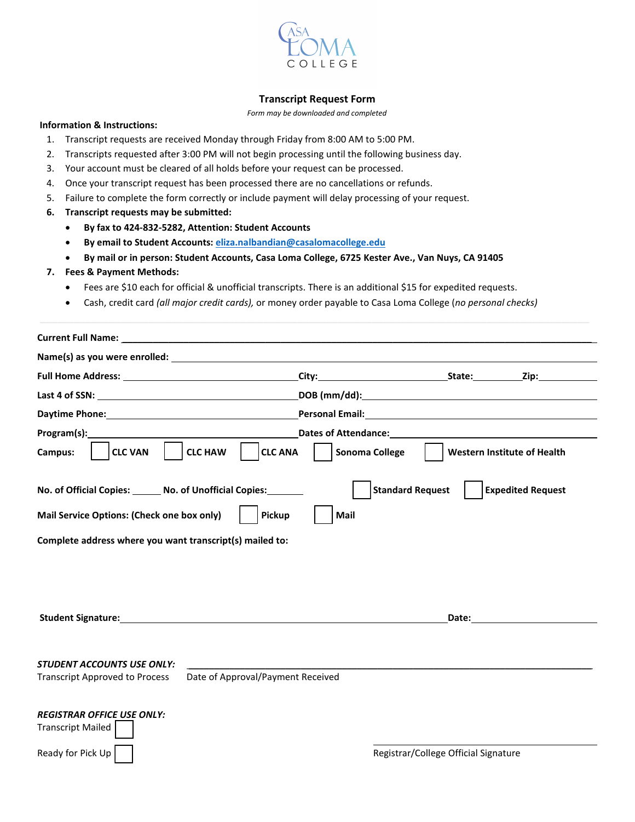

## **Transcript Request Form**

*Form may be downloaded and completed*

## **Information & Instructions:**

- 1. Transcript requests are received Monday through Friday from 8:00 AM to 5:00 PM.
- 2. Transcripts requested after 3:00 PM will not begin processing until the following business day.
- 3. Your account must be cleared of all holds before your request can be processed.
- 4. Once your transcript request has been processed there are no cancellations or refunds.
- 5. Failure to complete the form correctly or include payment will delay processing of your request.
- **6. Transcript requests may be submitted:**
	- **By fax to 424-832-5282, Attention: Student Accounts**
	- **By email to Student Accounts: [eliza.nalbandian@casalomacollege.edu](mailto:eliza.nalbandian@casalomacollege.edu?subject=Transcript%20Request)**
	- **By mail or in person: Student Accounts, Casa Loma College, 6725 Kester Ave., Van Nuys, CA 91405**

## **7. Fees & Payment Methods:**

- Fees are \$10 each for official & unofficial transcripts. There is an additional \$15 for expedited requests.
- Cash, credit card *(all major credit cards),* or money order payable to Casa Loma College (*no personal checks)*

| Name(s) as you were enrolled: Name of the state of the state of the state of the state of the state of the state of the state of the state of the state of the state of the state of the state of the state of the state of th |                                   |                                                                                                                                                                                                                                |                                                                                                                                                                                                                                |
|--------------------------------------------------------------------------------------------------------------------------------------------------------------------------------------------------------------------------------|-----------------------------------|--------------------------------------------------------------------------------------------------------------------------------------------------------------------------------------------------------------------------------|--------------------------------------------------------------------------------------------------------------------------------------------------------------------------------------------------------------------------------|
|                                                                                                                                                                                                                                |                                   | City: City: City: City: City: City: City: City: City: City: City: City: City: City: City: City: City: City: City: City: City: City: City: City: City: City: City: City: City: City: City: City: City: City: City: City: City:  |                                                                                                                                                                                                                                |
|                                                                                                                                                                                                                                |                                   |                                                                                                                                                                                                                                |                                                                                                                                                                                                                                |
| Daytime Phone: Note: 2008 00:00 00:00 00:00 00:00 00:00 00:00 00:00 00:00 00:00 00:00 00:00 00:00 00:00 00:00                                                                                                                  |                                   | Personal Email: <u>Communication and Communications</u>                                                                                                                                                                        |                                                                                                                                                                                                                                |
| Program(s): example and a series of the series of the series of the series of the series of the series of the series of the series of the series of the series of the series of the series of the series of the series of the  |                                   | Dates of Attendance: The contract of the contract of the contract of the contract of the contract of the contract of the contract of the contract of the contract of the contract of the contract of the contract of the contr |                                                                                                                                                                                                                                |
| <b>CLC HAW</b><br>Campus:<br><b>CLC VAN</b>                                                                                                                                                                                    | <b>CLC ANA</b><br>Sonoma College  |                                                                                                                                                                                                                                | <b>Western Institute of Health</b>                                                                                                                                                                                             |
| No. of Official Copies: No. of Unofficial Copies:                                                                                                                                                                              |                                   | <b>Standard Request</b>                                                                                                                                                                                                        | <b>Expedited Request</b>                                                                                                                                                                                                       |
| Mail Service Options: (Check one box only)                                                                                                                                                                                     | Pickup<br>Mail                    |                                                                                                                                                                                                                                |                                                                                                                                                                                                                                |
| Complete address where you want transcript(s) mailed to:                                                                                                                                                                       |                                   |                                                                                                                                                                                                                                |                                                                                                                                                                                                                                |
|                                                                                                                                                                                                                                |                                   |                                                                                                                                                                                                                                |                                                                                                                                                                                                                                |
| Student Signature: No. 2014 19:30:00 12:30:00 12:30:00 12:30:00 12:30:00 12:30:00 12:30:00 12:30:00 12:30:00 1                                                                                                                 |                                   |                                                                                                                                                                                                                                | Date: the contract of the contract of the contract of the contract of the contract of the contract of the contract of the contract of the contract of the contract of the contract of the contract of the contract of the cont |
| <b>STUDENT ACCOUNTS USE ONLY:</b><br><b>Transcript Approved to Process</b>                                                                                                                                                     | Date of Approval/Payment Received |                                                                                                                                                                                                                                |                                                                                                                                                                                                                                |
| <b>REGISTRAR OFFICE USE ONLY:</b><br><b>Transcript Mailed</b>                                                                                                                                                                  |                                   |                                                                                                                                                                                                                                |                                                                                                                                                                                                                                |
| Ready for Pick Up                                                                                                                                                                                                              |                                   | Registrar/College Official Signature                                                                                                                                                                                           |                                                                                                                                                                                                                                |